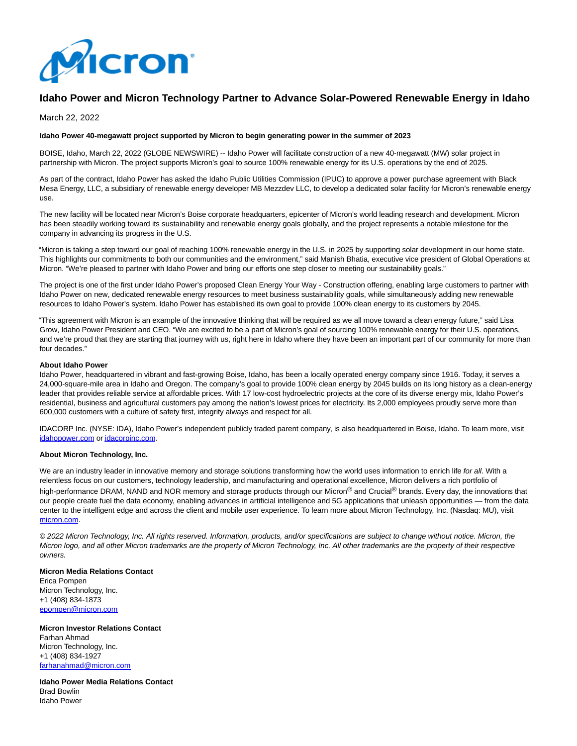

# **Idaho Power and Micron Technology Partner to Advance Solar-Powered Renewable Energy in Idaho**

March 22, 2022

## **Idaho Power 40-megawatt project supported by Micron to begin generating power in the summer of 2023**

BOISE, Idaho, March 22, 2022 (GLOBE NEWSWIRE) -- Idaho Power will facilitate construction of a new 40-megawatt (MW) solar project in partnership with Micron. The project supports Micron's goal to source 100% renewable energy for its U.S. operations by the end of 2025.

As part of the contract, Idaho Power has asked the Idaho Public Utilities Commission (IPUC) to approve a power purchase agreement with Black Mesa Energy, LLC, a subsidiary of renewable energy developer MB Mezzdev LLC, to develop a dedicated solar facility for Micron's renewable energy use.

The new facility will be located near Micron's Boise corporate headquarters, epicenter of Micron's world leading research and development. Micron has been steadily working toward its sustainability and renewable energy goals globally, and the project represents a notable milestone for the company in advancing its progress in the U.S.

"Micron is taking a step toward our goal of reaching 100% renewable energy in the U.S. in 2025 by supporting solar development in our home state. This highlights our commitments to both our communities and the environment," said Manish Bhatia, executive vice president of Global Operations at Micron. "We're pleased to partner with Idaho Power and bring our efforts one step closer to meeting our sustainability goals."

The project is one of the first under Idaho Power's proposed Clean Energy Your Way - Construction offering, enabling large customers to partner with Idaho Power on new, dedicated renewable energy resources to meet business sustainability goals, while simultaneously adding new renewable resources to Idaho Power's system. Idaho Power has established its own goal to provide 100% clean energy to its customers by 2045.

"This agreement with Micron is an example of the innovative thinking that will be required as we all move toward a clean energy future," said Lisa Grow, Idaho Power President and CEO. "We are excited to be a part of Micron's goal of sourcing 100% renewable energy for their U.S. operations, and we're proud that they are starting that journey with us, right here in Idaho where they have been an important part of our community for more than four decades."

### **About Idaho Power**

Idaho Power, headquartered in vibrant and fast-growing Boise, Idaho, has been a locally operated energy company since 1916. Today, it serves a 24,000-square-mile area in Idaho and Oregon. The company's goal to provide 100% clean energy by 2045 builds on its long history as a clean-energy leader that provides reliable service at affordable prices. With 17 low-cost hydroelectric projects at the core of its diverse energy mix, Idaho Power's residential, business and agricultural customers pay among the nation's lowest prices for electricity. Its 2,000 employees proudly serve more than 600,000 customers with a culture of safety first, integrity always and respect for all.

IDACORP Inc. (NYSE: IDA), Idaho Power's independent publicly traded parent company, is also headquartered in Boise, Idaho. To learn more, visit [idahopower.com o](https://www.globenewswire.com/Tracker?data=7tQh8PEqYWidHFylgQg4DHCEsQrr-jJnbamgn_w91lG5REG4i2svCxCJ9Bk4vOOwYMpCaO_5OBAepW4tr0zF9A==)[r idacorpinc.com.](https://www.globenewswire.com/Tracker?data=OcRVVA_VDe4wSqsrsPwNqornOC54vB7wn8XK7p5uKz2Q-r4ik0A0rn88J-4afjBde6wLGjrAtyTowo866B9cFg==)

#### **About Micron Technology, Inc.**

We are an industry leader in innovative memory and storage solutions transforming how the world uses information to enrich life for all. With a relentless focus on our customers, technology leadership, and manufacturing and operational excellence, Micron delivers a rich portfolio of high-performance DRAM, NAND and NOR memory and storage products through our Micron<sup>®</sup> and Crucial® brands. Every day, the innovations that our people create fuel the data economy, enabling advances in artificial intelligence and 5G applications that unleash opportunities — from the data center to the intelligent edge and across the client and mobile user experience. To learn more about Micron Technology, Inc. (Nasdaq: MU), visit [micron.com.](https://www.globenewswire.com/Tracker?data=TYcuflm0Z0CRTDypgVMQoYw6FTaeSii57hj7o52NLUFULdKxPnj56XvtwLtnUzxh0qGqhZlbM4u9tBjy5YOarw==)

© 2022 Micron Technology, Inc. All rights reserved. Information, products, and/or specifications are subject to change without notice. Micron, the Micron logo, and all other Micron trademarks are the property of Micron Technology, Inc. All other trademarks are the property of their respective owners.

#### **Micron Media Relations Contact**

Erica Pompen Micron Technology, Inc. +1 (408) 834-1873 [epompen@micron.com](https://www.globenewswire.com/Tracker?data=dZW6aHsm5lXrC2wcpb8vHB0az9xo4-1rvT0SBh33U2w_kpwzVWU9CLZGWJVNxRJtQX8RFs0I84p-tDV4ypJPUCysGDkSTwGocDzVVJGPkAE=)

**Micron Investor Relations Contact** Farhan Ahmad Micron Technology, Inc. +1 (408) 834-1927 [farhanahmad@micron.com](https://www.globenewswire.com/Tracker?data=giOyTqkrio6TENgq5BZasaBQzvHFu1oCUpuOep5EwAealjCQvEBPsiO1iHw5BRsReStIxC5lzi9wl7XglbrO-UsObZ373kPvRJSriaPTckU=)

**Idaho Power Media Relations Contact** Brad Bowlin Idaho Power